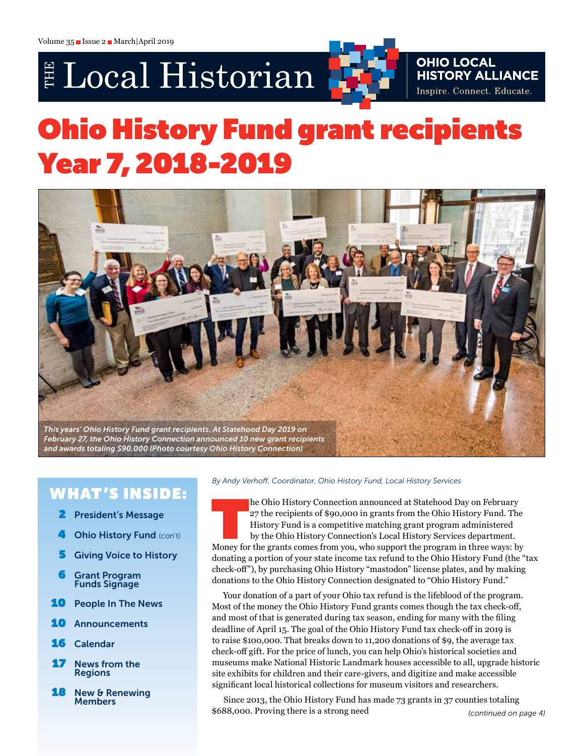# E Local Historian



# **OHIO LOCAL HISTORY ALLIANCE** Inspire. Connect. Educate.

# Ohio History Fund grant recipients Year 7, 2018-2019



# W HAT 'S INSIDE:

- 2 President's Message
- **Ohio History Fund (con't)**
- **5** Giving Voice to History
- 6 Grant Program **Funds Signage**
- **10** People In The News
- 10 Announcements
- 16 Calendar
- **17** News from the **Regions**
- **18** New & Renewing **Members**

#### *By Andy Verhoff, Coordinator, Ohio History Fund, Local History Services*

he Ohio History Connection announced at Statehood Day on February<br>27 the recipients of \$90,000 in grants from the Ohio History Fund. The<br>History Fund is a competitive matching grant program administered<br>by the Ohio History 27 the recipients of \$90,000 in grants from the Ohio History Fund. The History Fund is a competitive matching grant program administered by the Ohio History Connection's Local History Services department. Money for the grants comes from you, who support the program in three ways: by donating a portion of your state income tax refund to the Ohio History Fund (the "tax check-off"), by purchasing Ohio History "mastodon" license plates, and by making donations to the Ohio History Connection designated to "Ohio History Fund."

Your donation of a part of your Ohio tax refund is the lifeblood of the program. Most of the money the Ohio History Fund grants comes though the tax check-off, and most of that is generated during tax season, ending for many with the filing deadline of April 15. The goal of the Ohio History Fund tax check-off in 2019 is to raise \$100,000. That breaks down to 11,200 donations of \$9, the average tax check-off gift. For the price of lunch, you can help Ohio's historical societies and museums make National Historic Landmark houses accessible to all, upgrade historic site exhibits for children and their care-givers, and digitize and make accessible significant local historical collections for museum visitors and researchers.

Since 2013, the Ohio History Fund has made 73 grants in 37 counties totaling \$688,000. Proving there is a strong need *(continued on page 4)*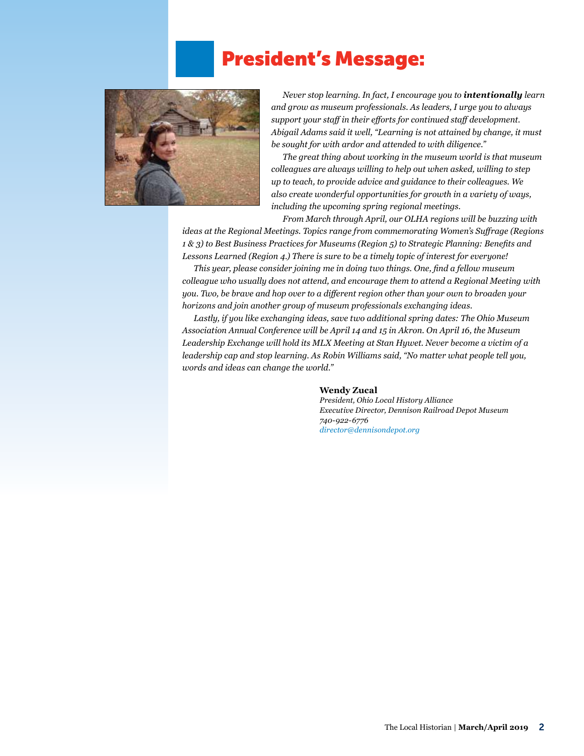# President's Message:



*Never stop learning. In fact, I encourage you to intentionally learn and grow as museum professionals. As leaders, I urge you to always support your staff in their efforts for continued staff development. Abigail Adams said it well, "Learning is not attained by change, it must be sought for with ardor and attended to with diligence."*

*The great thing about working in the museum world is that museum colleagues are always willing to help out when asked, willing to step up to teach, to provide advice and guidance to their colleagues. We also create wonderful opportunities for growth in a variety of ways, including the upcoming spring regional meetings.*

*From March through April, our OLHA regions will be buzzing with ideas at the Regional Meetings. Topics range from commemorating Women's Suffrage (Regions* 

*1 & 3) to Best Business Practices for Museums (Region 5) to Strategic Planning: Benefits and Lessons Learned (Region 4.) There is sure to be a timely topic of interest for everyone!* 

*This year, please consider joining me in doing two things. One, find a fellow museum colleague who usually does not attend, and encourage them to attend a Regional Meeting with you. Two, be brave and hop over to a different region other than your own to broaden your horizons and join another group of museum professionals exchanging ideas.* 

*Lastly, if you like exchanging ideas, save two additional spring dates: The Ohio Museum Association Annual Conference will be April 14 and 15 in Akron. On April 16, the Museum Leadership Exchange will hold its MLX Meeting at Stan Hywet. Never become a victim of a leadership cap and stop learning. As Robin Williams said, "No matter what people tell you, words and ideas can change the world."*

#### **Wendy Zucal**

*President, Ohio Local History Alliance Executive Director, Dennison Railroad Depot Museum 740-922-6776 [director@dennisondepot.org](mailto:director@dennisondepot.org)*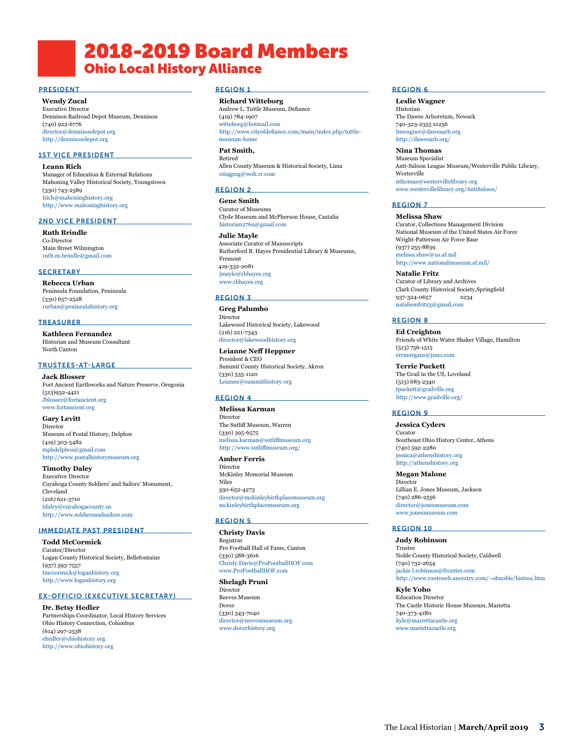# 2018-2019 Board Members Ohio Local History Alliance

#### PRESIDENT

**Wendy Zucal**

Executive Director Dennison Railroad Depot Museum, Dennison (740) 922-6776 [director@dennisondepot.org](mailto:director@dennisondepot.org) <http://dennisondepot.org>

#### 1ST VICE PRESIDENT

**Leann Rich** Manager of Education & External Relations Mahoning Valley Historical Society, Youngstown (330) 743-2589 [lrich@mahoninghistory.org](mailto:lrich@mahoninghistory.org) <http://www.mahoninghistory.org>

#### 2ND VICE PRESIDENT

**Ruth Brindle** Co-Director Main Street Wilmington [ruth.m.brindle@gmail.com](mailto:ruth.m.brindle@gmail.com)

#### **SECRETARY**

**Rebecca Urban** Peninsula Foundation, Peninsula (330) 657-2528 [rurban@peninsulahistory.org](mailto:rurban@peninsulahistory.org)

#### **TREASURER**

**Kathleen Fernandez** Historian and Museum Consultant North Canton

#### TRUSTEES-AT-LARGE

**Jack Blosser** Fort Ancient Earthworks and Nature Preserve, Oregonia (513)932-4421 [Jblosser@fortancient.org](mailto:Jblosser@fortancient.org) [www.fortancient.org](http://www.fortancient.org)

**Gary Levitt** Director Museum of Postal History, Delphos (419) 303-5482 [mphdelphos@gmail.com](mailto:mphdelphos@gmail.com) <http://www.postalhistorymuseum.org>

**Timothy Daley** Executive Director Cuyahoga County Soldiers' and Sailors' Monument, Cleveland (216) 621-3710 [tdaley@cuyahogacounty.us](mailto:tdaley@cuyahogacounty.us) <http://www.soldiersandsailors.com>

#### IMMEDIATE PAST PRESIDENT

**Todd McCormick** Curator/Director Logan County Historical Society, Bellefontaine (937) 593-7557 [tmccormick@loganhistory.org](mailto:tmccormick@loganhistory.org) <http://www.loganhistory.org>

#### EX-OFFICIO (EXECUTIVE SECRETARY)

**Dr. Betsy Hedler** Partnerships Coordinator, Local History Services Ohio History Connection, Columbus (614) 297-2538 [ehedler@ohiohistory.org](mailto:ehedler@ohiohistory.org) <http://www.ohiohistory.org>

#### REGION 1

**Richard Witteborg** Andrew L. Tuttle Museum, Defiance (419) 784-1907 [witteborg@hotmail.com](mailto:witteborg@hotmail.com) [http://www.cityofdefiance.com/main/index.php/tuttle](http://www.cityofdefiance.com/main/index.php/tuttle-museum-home)[museum-home](http://www.cityofdefiance.com/main/index.php/tuttle-museum-home)

**Pat Smith,**  Retired

Allen County Museum & Historical Society, Lima [otisgpug@woh.rr.com](mailto:otisgpug@woh.rr.com)

### REGION 2

**Gene Smith** Curator of Museums Clyde Museum and McPherson House, Castalia [historian2769@gmail.com](mailto:historian2769@gmail.com)

**Julie Mayle** Associate Curator of Manuscripts Rutherford B. Hayes Presidential Library & Museums, Fremont 419-332-2081 [jmayle@rbhayes.org](mailto:jmayle@rbhayes.org) [www.rbhayes.org](http://www.rbhayes.org)

#### REGION 3

**Greg Palumbo** Director Lakewood Historical Society, Lakewood (216) 221-7343 [director@lakewoodhistory.org](mailto:director@lakewoodhistory.org)

**Leianne Neff Heppner**  President & CEO Summit County Historical Society, Akron (330) 535-1120 [Leianne@summithistory.org](mailto:Leianne%40summithistory.org%20?subject=)

#### REGION 4

**Melissa Karman** Director The Sutliff Museum, Warren (330) 395-6575 [melissa.karman@sutliffmuseum.org](mailto:melissa.karman@sutliffmuseum.org) <http://www.sutliffmuseum.org/>

**Amber Ferris** Director McKinley Memorial Museum Niles 330-652-4273 [director@mckinleybirthplacemuseum.org](mailto:director%40mckinleybirthplacemuseum.org?subject=) [mckinleybirthplacemuseum.org](https://mckinleybirthplacemuseum.org)

#### REGION 5

**Christy Davis** Registrar Pro Football Hall of Fame, Canton (330) 588-3616 [Christy.Davis@ProFootballHOF.com](mailto:Christy.Davis@ProFootballHOF.com) [www.ProFootballHOF.com](http://www.ProFootballHOF.com)

#### **Shelagh Pruni**

Director Reeves Museum Dover (330) 343-7040 [director@reevesmuseum.org](mailto:director%40reevesmuseum.org?subject=) [www.doverhistory.org](http://www.doverhistory.org) 

#### REGION 6

**Leslie Wagner** Historian The Dawes Arboretum, Newark 740-323-2355 x1256 [lmwagner@dawesarb.org](mailto:lmwagner@dawesarb.org) <http://dawesarb.org/>

**Nina Thomas** Museum Specialist Anti-Saloon League Museum/Westerville Public Library, Westerville [nthomas@westervillelibrary.org](mailto:nthomas@westervillelibrary.org) [www.westervillelibrary.org/AntiSaloon/](http://www.westervillelibrary.org/AntiSaloon/)

#### REGION 7

**Melissa Shaw** Curator, Collections Management Division National Museum of the United States Air Force Wright-Patterson Air Force Base (937) 255-8839 [melissa.shaw@us.af.mil](mailto:melissa.shaw@us.af.mil) <http://www.nationalmuseum.af.mil/>

**Natalie Fritz** Curator of Library and Archives Clark County Historical Society,Springfield 937-324-0657 x234 [nataliemfritz3@gmail.com](mailto:nataliemfritz3@gmail.com)

#### REGION 8

**Ed Creighton** Friends of White Water Shaker Village, Hamilton (513) 756-1515 [ercmorgans@juno.com](mailto:ercmorgans@juno.com)

**Terrie Puckett** The Grail in the US, Loveland (513) 683-2340 [tpuckett@grailville.org](mailto:tpuckett@grailville.org) <http://www.grailville.org/>

#### REGION 9

**Jessica Cyders** Curator Southeast Ohio History Center, Athens (740) 592-2280 [jessica@athenshistory.org](mailto:jessica@athenshistory.org) <http://athenshistory.org>

**Megan Malone** Director Lillian E. Jones Museum, Jackson (740) 286-2556 [director@jonesmuseum.com](mailto:director@jonesmuseum.com) [www.jonesmuseum.com](http://www.jonesmuseum.com)

#### REGION 10

**Judy Robinson** Trustee Noble County Historical Society, Caldwell (740) 732-2654 [jackie.l.robinson@frontier.com](mailto:jackie.l.robinson@frontier.com) <http://www.rootsweb.ancestry.com/~ohnoble/histsoc.htm>

**Kyle Yoho** Education Director The Castle Historic House Museum, Marietta 740-373-4180 [kyle@mariettacastle.org](mailto:kyle@mariettacastle.org) [www.mariettacastle.org](http://www.mariettacastle.org)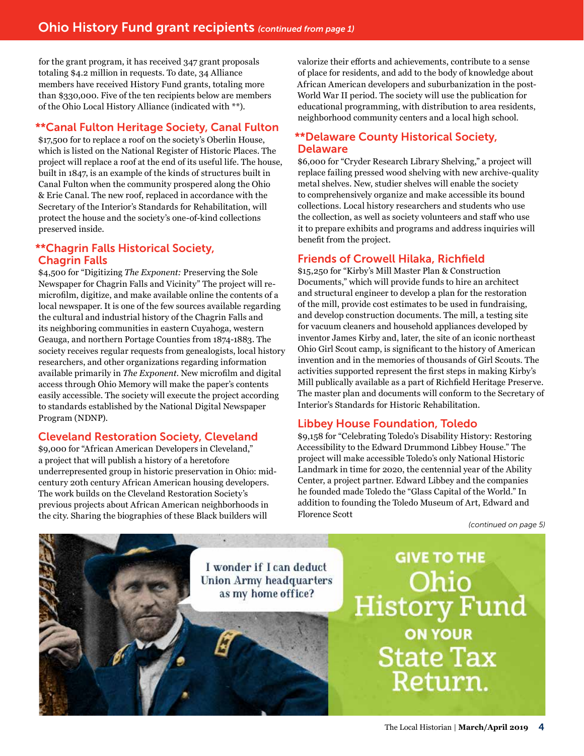for the grant program, it has received 347 grant proposals totaling \$4.2 million in requests. To date, 34 Alliance members have received History Fund grants, totaling more than \$330,000. Five of the ten recipients below are members of the Ohio Local History Alliance (indicated with \*\*).

# \*\*Canal Fulton Heritage Society, Canal Fulton

\$17,500 for to replace a roof on the society's Oberlin House, which is listed on the National Register of Historic Places. The project will replace a roof at the end of its useful life. The house, built in 1847, is an example of the kinds of structures built in Canal Fulton when the community prospered along the Ohio & Erie Canal. The new roof, replaced in accordance with the Secretary of the Interior's Standards for Rehabilitation, will protect the house and the society's one-of-kind collections preserved inside.

## \*\*Chagrin Falls Historical Society, Chagrin Falls

\$4,500 for "Digitizing *The Exponent:* Preserving the Sole Newspaper for Chagrin Falls and Vicinity" The project will remicrofilm, digitize, and make available online the contents of a local newspaper. It is one of the few sources available regarding the cultural and industrial history of the Chagrin Falls and its neighboring communities in eastern Cuyahoga, western Geauga, and northern Portage Counties from 1874-1883. The society receives regular requests from genealogists, local history researchers, and other organizations regarding information available primarily in *The Exponent*. New microfilm and digital access through Ohio Memory will make the paper's contents easily accessible. The society will execute the project according to standards established by the National Digital Newspaper Program (NDNP).

# Cleveland Restoration Society, Cleveland

\$9,000 for "African American Developers in Cleveland," a project that will publish a history of a heretofore underrepresented group in historic preservation in Ohio: midcentury 20th century African American housing developers. The work builds on the Cleveland Restoration Society's previous projects about African American neighborhoods in the city. Sharing the biographies of these Black builders will

valorize their efforts and achievements, contribute to a sense of place for residents, and add to the body of knowledge about African American developers and suburbanization in the post-World War II period. The society will use the publication for educational programming, with distribution to area residents, neighborhood community centers and a local high school.

# \*\*Delaware County Historical Society, Delaware

\$6,000 for "Cryder Research Library Shelving," a project will replace failing pressed wood shelving with new archive-quality metal shelves. New, studier shelves will enable the society to comprehensively organize and make accessible its bound collections. Local history researchers and students who use the collection, as well as society volunteers and staff who use it to prepare exhibits and programs and address inquiries will benefit from the project.

# Friends of Crowell Hilaka, Richfield

\$15,250 for "Kirby's Mill Master Plan & Construction Documents," which will provide funds to hire an architect and structural engineer to develop a plan for the restoration of the mill, provide cost estimates to be used in fundraising, and develop construction documents. The mill, a testing site for vacuum cleaners and household appliances developed by inventor James Kirby and, later, the site of an iconic northeast Ohio Girl Scout camp, is significant to the history of American invention and in the memories of thousands of Girl Scouts. The activities supported represent the first steps in making Kirby's Mill publically available as a part of Richfield Heritage Preserve. The master plan and documents will conform to the Secretary of Interior's Standards for Historic Rehabilitation.

# Libbey House Foundation, Toledo

\$9,158 for "Celebrating Toledo's Disability History: Restoring Accessibility to the Edward Drummond Libbey House." The project will make accessible Toledo's only National Historic Landmark in time for 2020, the centennial year of the Ability Center, a project partner. Edward Libbey and the companies he founded made Toledo the "Glass Capital of the World." In addition to founding the Toledo Museum of Art, Edward and Florence Scott

*(continued on page 5)*

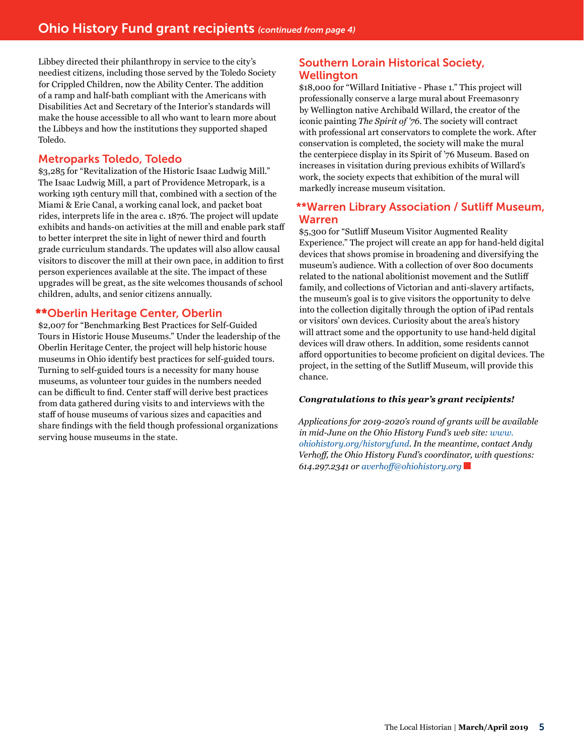Libbey directed their philanthropy in service to the city's neediest citizens, including those served by the Toledo Society for Crippled Children, now the Ability Center. The addition of a ramp and half-bath compliant with the Americans with Disabilities Act and Secretary of the Interior's standards will make the house accessible to all who want to learn more about the Libbeys and how the institutions they supported shaped Toledo.

#### Metroparks Toledo, Toledo

\$3,285 for "Revitalization of the Historic Isaac Ludwig Mill." The Isaac Ludwig Mill, a part of Providence Metropark, is a working 19th century mill that, combined with a section of the Miami & Erie Canal, a working canal lock, and packet boat rides, interprets life in the area c. 1876. The project will update exhibits and hands-on activities at the mill and enable park staff to better interpret the site in light of newer third and fourth grade curriculum standards. The updates will also allow causal visitors to discover the mill at their own pace, in addition to first person experiences available at the site. The impact of these upgrades will be great, as the site welcomes thousands of school children, adults, and senior citizens annually.

#### \*\*Oberlin Heritage Center, Oberlin

\$2,007 for "Benchmarking Best Practices for Self-Guided Tours in Historic House Museums." Under the leadership of the Oberlin Heritage Center, the project will help historic house museums in Ohio identify best practices for self-guided tours. Turning to self-guided tours is a necessity for many house museums, as volunteer tour guides in the numbers needed can be difficult to find. Center staff will derive best practices from data gathered during visits to and interviews with the staff of house museums of various sizes and capacities and share findings with the field though professional organizations serving house museums in the state.

# Southern Lorain Historical Society, Wellington

\$18,000 for "Willard Initiative - Phase 1." This project will professionally conserve a large mural about Freemasonry by Wellington native Archibald Willard, the creator of the iconic painting *The Spirit of '76*. The society will contract with professional art conservators to complete the work. After conservation is completed, the society will make the mural the centerpiece display in its Spirit of '76 Museum. Based on increases in visitation during previous exhibits of Willard's work, the society expects that exhibition of the mural will markedly increase museum visitation.

### \*\*Warren Library Association / Sutliff Museum, Warren

\$5,300 for "Sutliff Museum Visitor Augmented Reality Experience." The project will create an app for hand-held digital devices that shows promise in broadening and diversifying the museum's audience. With a collection of over 800 documents related to the national abolitionist movement and the Sutliff family, and collections of Victorian and anti-slavery artifacts, the museum's goal is to give visitors the opportunity to delve into the collection digitally through the option of iPad rentals or visitors' own devices. Curiosity about the area's history will attract some and the opportunity to use hand-held digital devices will draw others. In addition, some residents cannot afford opportunities to become proficient on digital devices. The project, in the setting of the Sutliff Museum, will provide this chance.

#### *Congratulations to this year's grant recipients!*

*Applications for 2019-2020's round of grants will be available in mid-June on the Ohio History Fund's web site: [www.](http://www.ohiohistory.org/historyfund) [ohiohistory.org/historyfund](http://www.ohiohistory.org/historyfund). In the meantime, contact Andy Verhoff, the Ohio History Fund's coordinator, with questions: 614.297.2341 or [averhoff@ohiohistory.org](mailto:averhoff@ohiohistory.org)*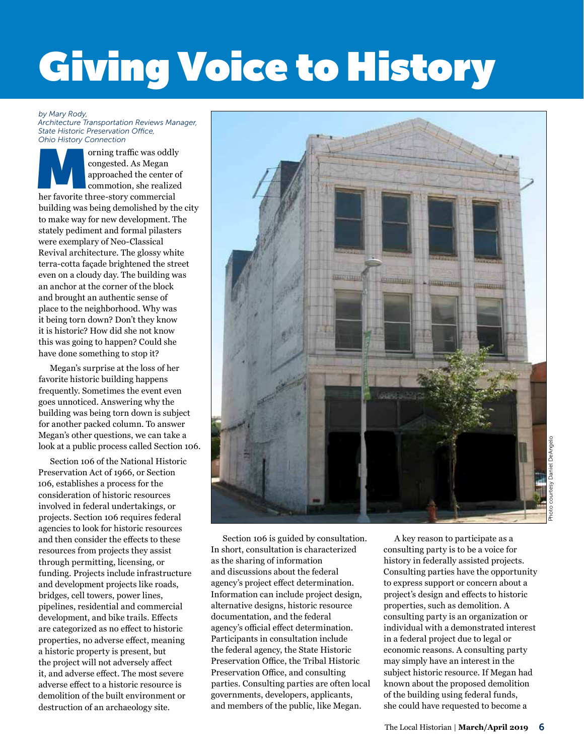# **Giving Voice to History**

#### *by Mary Rody,*

*Architecture Transportation Reviews Manager, State Historic Preservation Office, Ohio History Connection* 

orning traffic was oddly<br>
congested. As Megan<br>
approached the center of<br>
commotion, she realized<br>
her favorite three-story commercial congested. As Megan approached the center of commotion, she realized building was being demolished by the city to make way for new development. The stately pediment and formal pilasters were exemplary of Neo-Classical Revival architecture. The glossy white terra-cotta façade brightened the street even on a cloudy day. The building was an anchor at the corner of the block and brought an authentic sense of place to the neighborhood. Why was it being torn down? Don't they know it is historic? How did she not know this was going to happen? Could she have done something to stop it?

Megan's surprise at the loss of her favorite historic building happens frequently. Sometimes the event even goes unnoticed. Answering why the building was being torn down is subject for another packed column. To answer Megan's other questions, we can take a look at a public process called Section 106.

Section 106 of the National Historic Preservation Act of 1966, or Section 106, establishes a process for the consideration of historic resources involved in federal undertakings, or projects. Section 106 requires federal agencies to look for historic resources and then consider the effects to these resources from projects they assist through permitting, licensing, or funding. Projects include infrastructure and development projects like roads, bridges, cell towers, power lines, pipelines, residential and commercial development, and bike trails. Effects are categorized as no effect to historic properties, no adverse effect, meaning a historic property is present, but the project will not adversely affect it, and adverse effect. The most severe adverse effect to a historic resource is demolition of the built environment or destruction of an archaeology site.



Daniel DeAngelo Photo courtesy Daniel DeAngelo

Section 106 is guided by consultation. In short, consultation is characterized as the sharing of information and discussions about the federal agency's project effect determination. Information can include project design, alternative designs, historic resource documentation, and the federal agency's official effect determination. Participants in consultation include the federal agency, the State Historic Preservation Office, the Tribal Historic Preservation Office, and consulting parties. Consulting parties are often local governments, developers, applicants, and members of the public, like Megan.

A key reason to participate as a consulting party is to be a voice for history in federally assisted projects. Consulting parties have the opportunity to express support or concern about a project's design and effects to historic properties, such as demolition. A consulting party is an organization or individual with a demonstrated interest in a federal project due to legal or economic reasons. A consulting party may simply have an interest in the subject historic resource. If Megan had known about the proposed demolition of the building using federal funds, she could have requested to become a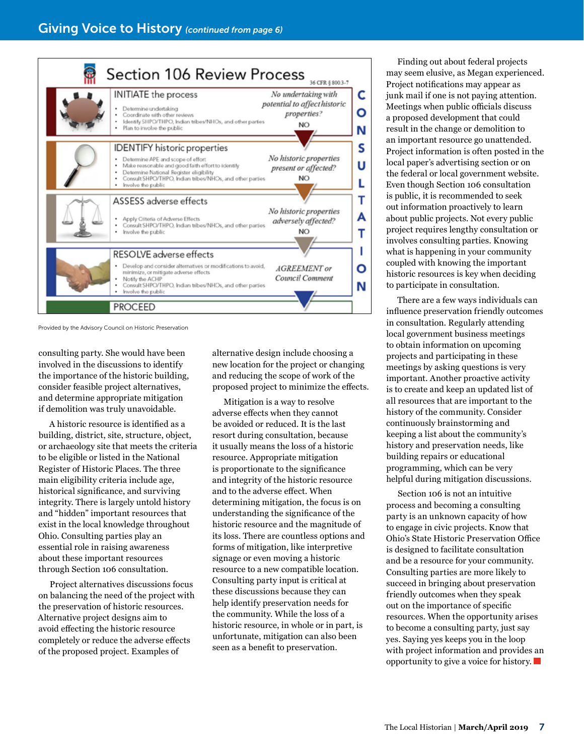

Provided by the Advisory Council on Historic Preservation

consulting party. She would have been involved in the discussions to identify the importance of the historic building, consider feasible project alternatives, and determine appropriate mitigation if demolition was truly unavoidable.

A historic resource is identified as a building, district, site, structure, object, or archaeology site that meets the criteria to be eligible or listed in the National Register of Historic Places. The three main eligibility criteria include age, historical significance, and surviving integrity. There is largely untold history and "hidden" important resources that exist in the local knowledge throughout Ohio. Consulting parties play an essential role in raising awareness about these important resources through Section 106 consultation.

Project alternatives discussions focus on balancing the need of the project with the preservation of historic resources. Alternative project designs aim to avoid effecting the historic resource completely or reduce the adverse effects of the proposed project. Examples of

alternative design include choosing a new location for the project or changing and reducing the scope of work of the proposed project to minimize the effects.

Mitigation is a way to resolve adverse effects when they cannot be avoided or reduced. It is the last resort during consultation, because it usually means the loss of a historic resource. Appropriate mitigation is proportionate to the significance and integrity of the historic resource and to the adverse effect. When determining mitigation, the focus is on understanding the significance of the historic resource and the magnitude of its loss. There are countless options and forms of mitigation, like interpretive signage or even moving a historic resource to a new compatible location. Consulting party input is critical at these discussions because they can help identify preservation needs for the community. While the loss of a historic resource, in whole or in part, is unfortunate, mitigation can also been seen as a benefit to preservation.

Finding out about federal projects may seem elusive, as Megan experienced. Project notifications may appear as junk mail if one is not paying attention. Meetings when public officials discuss a proposed development that could result in the change or demolition to an important resource go unattended. Project information is often posted in the local paper's advertising section or on the federal or local government website. Even though Section 106 consultation is public, it is recommended to seek out information proactively to learn about public projects. Not every public project requires lengthy consultation or involves consulting parties. Knowing what is happening in your community coupled with knowing the important historic resources is key when deciding to participate in consultation.

There are a few ways individuals can influence preservation friendly outcomes in consultation. Regularly attending local government business meetings to obtain information on upcoming projects and participating in these meetings by asking questions is very important. Another proactive activity is to create and keep an updated list of all resources that are important to the history of the community. Consider continuously brainstorming and keeping a list about the community's history and preservation needs, like building repairs or educational programming, which can be very helpful during mitigation discussions.

Section 106 is not an intuitive process and becoming a consulting party is an unknown capacity of how to engage in civic projects. Know that Ohio's State Historic Preservation Office is designed to facilitate consultation and be a resource for your community. Consulting parties are more likely to succeed in bringing about preservation friendly outcomes when they speak out on the importance of specific resources. When the opportunity arises to become a consulting party, just say yes. Saying yes keeps you in the loop with project information and provides an opportunity to give a voice for history.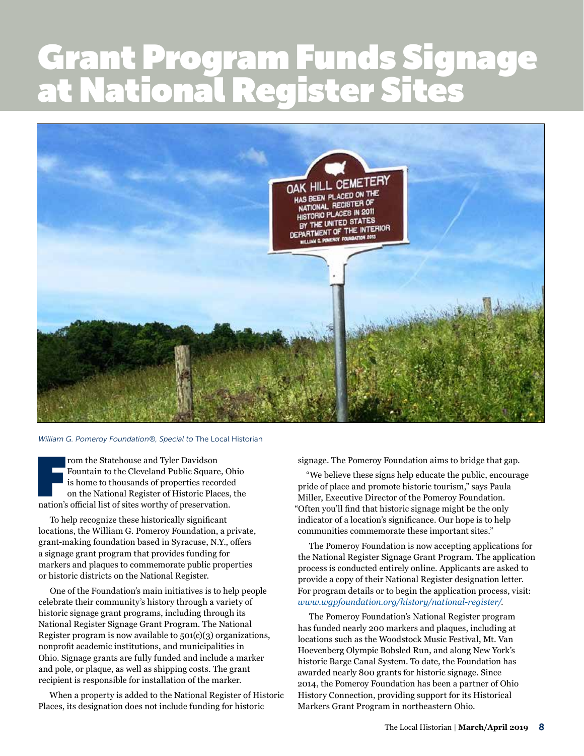# Grant Program Funds Signage at National Register Sites **text block starts here under the starts here under the starts here under the starts**



#### *William G. Pomeroy Foundation®, Special to* The Local Historian

From the Statehouse and Tyler Davidson<br>Fountain to the Cleveland Public Square, C<br>is home to thousands of properties recorde<br>on the National Register of Historic Places,<br>nation's official list of sites worthy of preservati rom the Statehouse and Tyler Davidson Fountain to the Cleveland Public Square, Ohio is home to thousands of properties recorded on the National Register of Historic Places, the

To help recognize these historically significant locations, the William G. Pomeroy Foundation, a private, grant-making foundation based in Syracuse, N.Y., offers a signage grant program that provides funding for markers and plaques to commemorate public properties or historic districts on the National Register.

One of the Foundation's main initiatives is to help people celebrate their community's history through a variety of historic signage grant programs, including through its National Register Signage Grant Program. The National Register program is now available to 501(c)(3) organizations, nonprofit academic institutions, and municipalities in Ohio. Signage grants are fully funded and include a marker and pole, or plaque, as well as shipping costs. The grant recipient is responsible for installation of the marker.

When a property is added to the National Register of Historic Places, its designation does not include funding for historic

signage. The Pomeroy Foundation aims to bridge that gap.

"We believe these signs help educate the public, encourage pride of place and promote historic tourism," says Paula Miller, Executive Director of the Pomeroy Foundation. "Often you'll find that historic signage might be the only indicator of a location's significance. Our hope is to help communities commemorate these important sites."

The Pomeroy Foundation is now accepting applications for the National Register Signage Grant Program. The application process is conducted entirely online. Applicants are asked to provide a copy of their National Register designation letter. For program details or to begin the application process, visit: *[www.wgpfoundation.org/history/national-register/](https://www.wgpfoundation.org/history/national-register/)*.

The Pomeroy Foundation's National Register program has funded nearly 200 markers and plaques, including at locations such as the Woodstock Music Festival, Mt. Van Hoevenberg Olympic Bobsled Run, and along New York's historic Barge Canal System. To date, the Foundation has awarded nearly 800 grants for historic signage. Since 2014, the Pomeroy Foundation has been a partner of Ohio History Connection, providing support for its Historical Markers Grant Program in northeastern Ohio.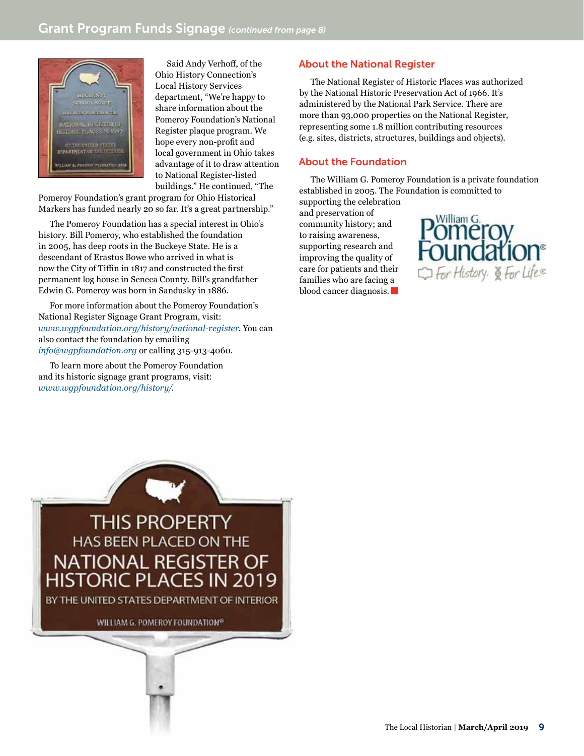

Said Andy Verhoff, of the Ohio History Connection's Local History Services department, "We're happy to share information about the Pomeroy Foundation's National Register plaque program. We hope every non-profit and local government in Ohio takes advantage of it to draw attention to National Register-listed buildings." He continued, "The

Pomeroy Foundation's grant program for Ohio Historical Markers has funded nearly 20 so far. It's a great partnership."

The Pomeroy Foundation has a special interest in Ohio's history. Bill Pomeroy, who established the foundation in 2005, has deep roots in the Buckeye State. He is a descendant of Erastus Bowe who arrived in what is now the City of Tiffin in 1817 and constructed the first permanent log house in Seneca County. Bill's grandfather Edwin G. Pomeroy was born in Sandusky in 1886.

For more information about the Pomeroy Foundation's National Register Signage Grant Program, visit: *[www.wgpfoundation.org/history/national-register](https://www.wgpfoundation.org/history/national-register/)*. You can also contact the foundation by emailing *[info@wgpfoundation.org](mailto:info@wgpfoundation.org)* or calling 315-913-4060.

To learn more about the Pomeroy Foundation and its historic signage grant programs, visit: *[www.wgpfoundation.org/history/](https://www.wgpfoundation.org/history/)*.



The National Register of Historic Places was authorized by the National Historic Preservation Act of 1966. It's administered by the National Park Service. There are more than 93,000 properties on the National Register, representing some 1.8 million contributing resources (e.g. sites, districts, structures, buildings and objects).

### About the Foundation

The William G. Pomeroy Foundation is a private foundation established in 2005. The Foundation is committed to

supporting the celebration and preservation of community history; and to raising awareness, supporting research and improving the quality of care for patients and their families who are facing a blood cancer diagnosis.



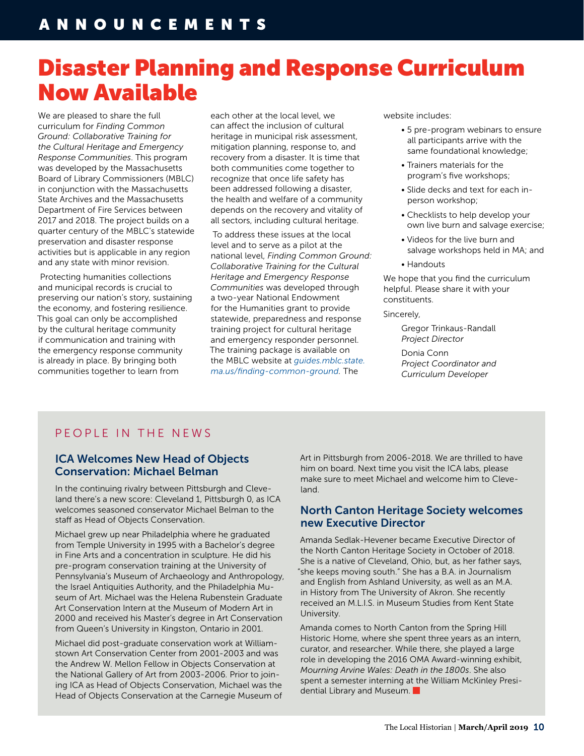# Disaster Planning and Response Curriculum Now Available

We are pleased to share the full curriculum for *Finding Common Ground: Collaborative Training for the Cultural Heritage and Emergency Response Communities*. This program was developed by the Massachusetts Board of Library Commissioners (MBLC) in conjunction with the Massachusetts State Archives and the Massachusetts Department of Fire Services between 2017 and 2018. The project builds on a quarter century of the MBLC's statewide preservation and disaster response activities but is applicable in any region and any state with minor revision.

 Protecting humanities collections and municipal records is crucial to preserving our nation's story, sustaining the economy, and fostering resilience. This goal can only be accomplished by the cultural heritage community if communication and training with the emergency response community is already in place. By bringing both communities together to learn from

each other at the local level, we can affect the inclusion of cultural heritage in municipal risk assessment, mitigation planning, response to, and recovery from a disaster. It is time that both communities come together to recognize that once life safety has been addressed following a disaster, the health and welfare of a community depends on the recovery and vitality of all sectors, including cultural heritage.

 To address these issues at the local level and to serve as a pilot at the national level, *Finding Common Ground: Collaborative Training for the Cultural Heritage and Emergency Response Communities* was developed through a two-year National Endowment for the Humanities grant to provide statewide, preparedness and response training project for cultural heritage and emergency responder personnel. The training package is available on the MBLC website at *[guides.mblc.state.](http://guides.mblc.state.ma.us/finding-common-ground) [ma.us/finding-common-ground](http://guides.mblc.state.ma.us/finding-common-ground).* The

website includes:

- 5 pre-program webinars to ensure all participants arrive with the same foundational knowledge;
- Trainers materials for the program's five workshops;
- Slide decks and text for each inperson workshop;
- Checklists to help develop your own live burn and salvage exercise;
- Videos for the live burn and salvage workshops held in MA; and
- Handouts

We hope that you find the curriculum helpful. Please share it with your constituents.

#### Sincerely,

 Gregor Trinkaus-Randall *Project Director*

 Donia Conn *Project Coordinator and Curriculum Developer*

# PEOPLE IN THE NEWS

## ICA Welcomes New Head of Objects Conservation: Michael Belman

In the continuing rivalry between Pittsburgh and Cleveland there's a new score: Cleveland 1, Pittsburgh 0, as ICA welcomes seasoned conservator Michael Belman to the staff as Head of Objects Conservation.

Michael grew up near Philadelphia where he graduated from Temple University in 1995 with a Bachelor's degree in Fine Arts and a concentration in sculpture. He did his pre-program conservation training at the University of Pennsylvania's Museum of Archaeology and Anthropology, the Israel Antiquities Authority, and the Philadelphia Museum of Art. Michael was the Helena Rubenstein Graduate Art Conservation Intern at the Museum of Modern Art in 2000 and received his Master's degree in Art Conservation from Queen's University in Kingston, Ontario in 2001.

Michael did post-graduate conservation work at Williamstown Art Conservation Center from 2001-2003 and was the Andrew W. Mellon Fellow in Objects Conservation at the National Gallery of Art from 2003-2006. Prior to joining ICA as Head of Objects Conservation, Michael was the Head of Objects Conservation at the Carnegie Museum of Art in Pittsburgh from 2006-2018. We are thrilled to have him on board. Next time you visit the ICA labs, please make sure to meet Michael and welcome him to Cleveland.

### North Canton Heritage Society welcomes new Executive Director

Amanda Sedlak-Hevener became Executive Director of the North Canton Heritage Society in October of 2018. She is a native of Cleveland, Ohio, but, as her father says, "she keeps moving south." She has a B.A. in Journalism and English from Ashland University, as well as an M.A. in History from The University of Akron. She recently received an M.L.I.S. in Museum Studies from Kent State University.

Amanda comes to North Canton from the Spring Hill Historic Home, where she spent three years as an intern, curator, and researcher. While there, she played a large role in developing the 2016 OMA Award-winning exhibit, *Mourning Arvine Wales: Death in the 1800s*. She also spent a semester interning at the William McKinley Presidential Library and Museum.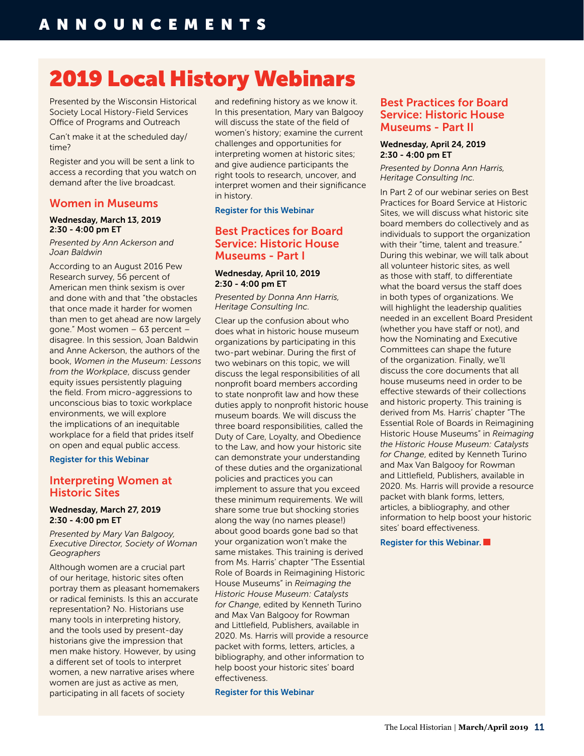# 2019 Local History Webinars

Presented by the Wisconsin Historical Society Local History-Field Services Office of Programs and Outreach

Can't make it at the scheduled day/ time?

Register and you will be sent a link to access a recording that you watch on demand after the live broadcast.

### Women in Museums

#### Wednesday, March 13, 2019 2:30 - 4:00 pm ET

*Presented by Ann Ackerson and Joan Baldwin* 

According to an August 2016 Pew Research survey, 56 percent of American men think sexism is over and done with and that "the obstacles that once made it harder for women than men to get ahead are now largely gone." Most women – 63 percent – disagree. In this session, Joan Baldwin and Anne Ackerson, the authors of the book, *Women in the Museum: Lessons from the Workplace*, discuss gender equity issues persistently plaguing the field. From micro-aggressions to unconscious bias to toxic workplace environments, we will explore the implications of an inequitable workplace for a field that prides itself on open and equal public access.

[Register for this Webinar](http://r20.rs6.net/tn.jsp?f=001oH8Nn3SwNwOnDd3ShFm2yWjmMwf70oYTi8BChCFGYxI6jlJSVpyAlc6ChdB2gk_uhwtjF8q_rlZX_EZk0ByyEv0xudLJbhIIWraeP-MCrDtRHWQMBcVtQ_UzW4J5Dr4JQ6HmhQQsxRBvboPgazYL13nZMB_VL5zNaBuM6wTnvIxAkpMh3zMIql0-wpxm-gtd9qw1u6WsItE=&c=MLWHEW29i34a78uyh9l-ex4fhyO2w2xSY7A2qL-UJeDm3GFkfUKyhA==&ch=yPL5lpXlwuOdMVvP6yhUMdvcvxTJhKsEs6ADyLkGJ597e0OTiOUHbw==)

### Interpreting Women at Historic Sites

#### Wednesday, March 27, 2019 2:30 - 4:00 pm ET

*Presented by Mary Van Balgooy, Executive Director, Society of Woman Geographers* 

Although women are a crucial part of our heritage, historic sites often portray them as pleasant homemakers or radical feminists. Is this an accurate representation? No. Historians use many tools in interpreting history, and the tools used by present-day historians give the impression that men make history. However, by using a different set of tools to interpret women, a new narrative arises where women are just as active as men, participating in all facets of society

and redefining history as we know it. In this presentation, Mary van Balgooy will discuss the state of the field of women's history; examine the current challenges and opportunities for interpreting women at historic sites; and give audience participants the right tools to research, uncover, and interpret women and their significance in history.

#### [Register for this Webinar](http://r20.rs6.net/tn.jsp?f=001oH8Nn3SwNwOnDd3ShFm2yWjmMwf70oYTi8BChCFGYxI6jlJSVpyAlc6ChdB2gk_ukIg1-_HflK3pAvvkrSunANOBiJXfzfdqmIlAMQE0gagE0TYM1KnCnoi_o8GpMmSb6zyVo66-McsXIn7HIwrvS5y4wpwQHPzAlyeO-QSL94QfZu15NkVyupAaD5gVud3Ugkp84tyCWSA=&c=MLWHEW29i34a78uyh9l-ex4fhyO2w2xSY7A2qL-UJeDm3GFkfUKyhA==&ch=yPL5lpXlwuOdMVvP6yhUMdvcvxTJhKsEs6ADyLkGJ597e0OTiOUHbw==)

# Best Practices for Board Service: Historic House Museums - Part I

#### Wednesday, April 10, 2019 2:30 - 4:00 pm ET

*Presented by Donna Ann Harris, Heritage Consulting Inc.* 

Clear up the confusion about who does what in historic house museum organizations by participating in this two-part webinar. During the first of two webinars on this topic, we will discuss the legal responsibilities of all nonprofit board members according to state nonprofit law and how these duties apply to nonprofit historic house museum boards. We will discuss the three board responsibilities, called the Duty of Care, Loyalty, and Obedience to the Law, and how your historic site can demonstrate your understanding of these duties and the organizational policies and practices you can implement to assure that you exceed these minimum requirements. We will share some true but shocking stories along the way (no names please!) about good boards gone bad so that your organization won't make the same mistakes. This training is derived from Ms. Harris' chapter "The Essential Role of Boards in Reimagining Historic House Museums" in *Reimaging the Historic House Museum: Catalysts for Change*, edited by Kenneth Turino and Max Van Balgooy for Rowman and Littlefield, Publishers, available in 2020. Ms. Harris will provide a resource packet with forms, letters, articles, a bibliography, and other information to help boost your historic sites' board effectiveness.

[Register for this Webinar](http://r20.rs6.net/tn.jsp?f=001oH8Nn3SwNwOnDd3ShFm2yWjmMwf70oYTi8BChCFGYxI6jlJSVpyAlc6ChdB2gk_upbX9WN2ynCdzKcB7A4s6SypVi2Ox0lYtHQKh3z7I9mLyOvo-TEuzY7FSBdHhOTC-zp9uEc9eFIKVJ4NnGheG58UcXuZxrJAbPaiCDMEwXLPA-TprpEC58SN1PgD9tK5myCPQPwVpuEY=&c=MLWHEW29i34a78uyh9l-ex4fhyO2w2xSY7A2qL-UJeDm3GFkfUKyhA==&ch=yPL5lpXlwuOdMVvP6yhUMdvcvxTJhKsEs6ADyLkGJ597e0OTiOUHbw==)

### Best Practices for Board Service: Historic House Museums - Part II

#### Wednesday, April 24, 2019 2:30 - 4:00 pm ET

*Presented by Donna Ann Harris, Heritage Consulting Inc.* 

In Part 2 of our webinar series on Best Practices for Board Service at Historic Sites, we will discuss what historic site board members do collectively and as individuals to support the organization with their "time, talent and treasure." During this webinar, we will talk about all volunteer historic sites, as well as those with staff, to differentiate what the board versus the staff does in both types of organizations. We will highlight the leadership qualities needed in an excellent Board President (whether you have staff or not), and how the Nominating and Executive Committees can shape the future of the organization. Finally, we'll discuss the core documents that all house museums need in order to be effective stewards of their collections and historic property. This training is derived from Ms. Harris' chapter "The Essential Role of Boards in Reimagining Historic House Museums" in *Reimaging the Historic House Museum: Catalysts for Change*, edited by Kenneth Turino and Max Van Balgooy for Rowman and Littlefield, Publishers, available in 2020. Ms. Harris will provide a resource packet with blank forms, letters, articles, a bibliography, and other information to help boost your historic sites' board effectiveness.

#### [Register for this Webinar.](http://r20.rs6.net/tn.jsp?f=001oH8Nn3SwNwOnDd3ShFm2yWjmMwf70oYTi8BChCFGYxI6jlJSVpyAlc6ChdB2gk_uO4J41r2HKSWb6YuqGoJVuCyhztDFgJWIX5SHyVPfF4fIwz2PfgumI0sQIivG8y1FHNj2tQogltbt4TRcI7txVJ5KBmIqFPkGJY8_TAvYe523N2Zovy4oQk1yPET0HmNKsOHiPg2WPek=&c=MLWHEW29i34a78uyh9l-ex4fhyO2w2xSY7A2qL-UJeDm3GFkfUKyhA==&ch=yPL5lpXlwuOdMVvP6yhUMdvcvxTJhKsEs6ADyLkGJ597e0OTiOUHbw==)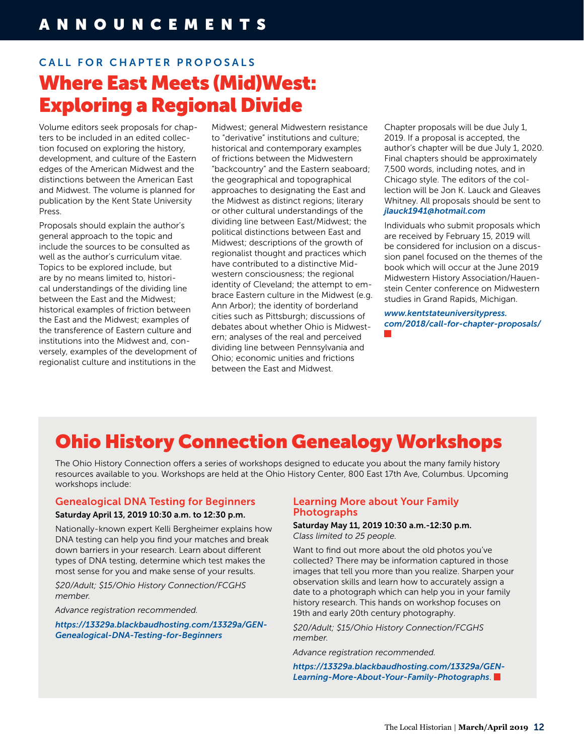# CALL FOR CHAPTER PROPOSALS Where East Meets (Mid)West: Exploring a Regional Divide

Volume editors seek proposals for chapters to be included in an edited collection focused on exploring the history, development, and culture of the Eastern edges of the American Midwest and the distinctions between the American East and Midwest. The volume is planned for publication by the Kent State University Press.

Proposals should explain the author's general approach to the topic and include the sources to be consulted as well as the author's curriculum vitae. Topics to be explored include, but are by no means limited to, historical understandings of the dividing line between the East and the Midwest; historical examples of friction between the East and the Midwest; examples of the transference of Eastern culture and institutions into the Midwest and, conversely, examples of the development of regionalist culture and institutions in the

Midwest; general Midwestern resistance to "derivative" institutions and culture; historical and contemporary examples of frictions between the Midwestern "backcountry" and the Eastern seaboard; the geographical and topographical approaches to designating the East and the Midwest as distinct regions; literary or other cultural understandings of the dividing line between East/Midwest; the political distinctions between East and Midwest; descriptions of the growth of regionalist thought and practices which have contributed to a distinctive Midwestern consciousness; the regional identity of Cleveland; the attempt to embrace Eastern culture in the Midwest (e.g. Ann Arbor); the identity of borderland cities such as Pittsburgh; discussions of debates about whether Ohio is Midwestern; analyses of the real and perceived dividing line between Pennsylvania and Ohio; economic unities and frictions between the East and Midwest.

Chapter proposals will be due July 1, 2019. If a proposal is accepted, the author's chapter will be due July 1, 2020. Final chapters should be approximately 7,500 words, including notes, and in Chicago style. The editors of the collection will be Jon K. Lauck and Gleaves Whitney. All proposals should be sent to *[jlauck1941@hotmail.com](mailto:jlauck1941@hotmail.com)*

Individuals who submit proposals which are received by February 15, 2019 will be considered for inclusion on a discussion panel focused on the themes of the book which will occur at the June 2019 Midwestern History Association/Hauenstein Center conference on Midwestern studies in Grand Rapids, Michigan.

*[www.kentstateuniversitypress.](http://www.kentstateuniversitypress.com/2018/call-for-chapter-proposals/) [com/2018/call-for-chapter-proposals/](http://www.kentstateuniversitypress.com/2018/call-for-chapter-proposals/)*

# Ohio History Connection Genealogy Workshops

The Ohio History Connection offers a series of workshops designed to educate you about the many family history resources available to you. Workshops are held at the Ohio History Center, 800 East 17th Ave, Columbus. Upcoming workshops include:

## Genealogical DNA Testing for Beginners

#### Saturday April 13, 2019 10:30 a.m. to 12:30 p.m.

Nationally-known expert Kelli Bergheimer explains how DNA testing can help you find your matches and break down barriers in your research. Learn about different types of DNA testing, determine which test makes the most sense for you and make sense of your results.

*\$20/Adult; \$15/Ohio History Connection/FCGHS member.* 

*Advance registration recommended.*

*https://1332[9a.blackbaudhosting.com/13329a/GEN-](https://13329a.blackbaudhosting.com/13329a/GEN-Genealogical-DNA-Testing-for-Beginners)[Genealogical-DNA-Testing-for-Beginners](https://13329a.blackbaudhosting.com/13329a/GEN-Genealogical-DNA-Testing-for-Beginners)*

#### Learning More about Your Family Photographs

#### Saturday May 11, 2019 10:30 a.m.-12:30 p.m. *Class limited to 25 people.*

Want to find out more about the old photos you've collected? There may be information captured in those images that tell you more than you realize. Sharpen your observation skills and learn how to accurately assign a date to a photograph which can help you in your family history research. This hands on workshop focuses on 19th and early 20th century photography.

*\$20/Adult; \$15/Ohio History Connection/FCGHS member.*

*Advance registration recommended.*

*https://13329[a.blackbaudhosting.com/13329a/GEN-](https://13329a.blackbaudhosting.com/13329a/GEN-Learning-More-About-Your-Family-Photographs)[Learning-More-About-Your-Family-Photographs](https://13329a.blackbaudhosting.com/13329a/GEN-Learning-More-About-Your-Family-Photographs)*.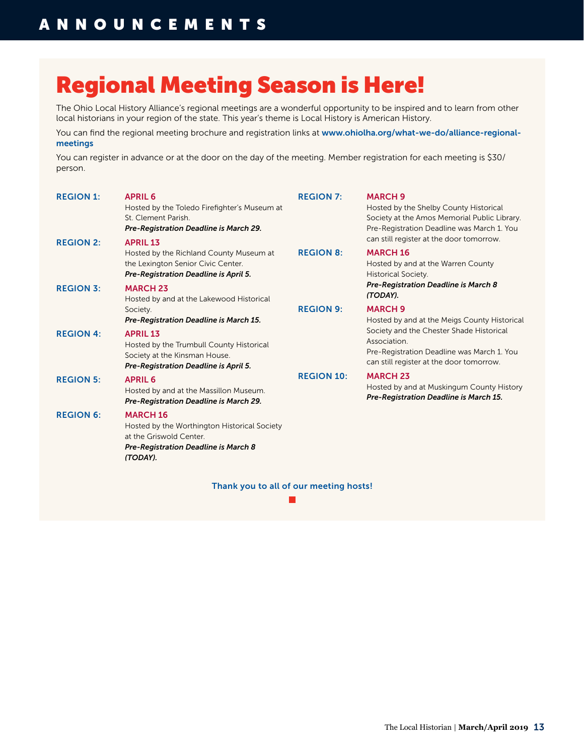# Regional Meeting Season is Here!

The Ohio Local History Alliance's regional meetings are a wonderful opportunity to be inspired and to learn from other local historians in your region of the state. This year's theme is Local History is American History.

You can find the regional meeting brochure and registration links at [www.ohiolha.org/what-we-do/alliance-regional](http://www.ohiolha.org/what-we-do/alliance-regional-meetings)[meetings](http://www.ohiolha.org/what-we-do/alliance-regional-meetings)

You can register in advance or at the door on the day of the meeting. Member registration for each meeting is \$30/ person.

| <b>REGION 1:</b>                     | <b>APRIL 6</b><br>Hosted by the Toledo Firefighter's Museum at<br>St. Clement Parish.<br>Pre-Registration Deadline is March 29.                                                                          | <b>REGION 7:</b>  | <b>MARCH 9</b><br>Hosted by the Shelby County Historical<br>Society at the Amos Memorial Public Library.<br>Pre-Registration Deadline was March 1. You                              |
|--------------------------------------|----------------------------------------------------------------------------------------------------------------------------------------------------------------------------------------------------------|-------------------|-------------------------------------------------------------------------------------------------------------------------------------------------------------------------------------|
| <b>REGION 2:</b><br><b>REGION 3:</b> | <b>APRIL 13</b><br>Hosted by the Richland County Museum at<br>the Lexington Senior Civic Center.<br>Pre-Registration Deadline is April 5.<br><b>MARCH 23</b><br>Hosted by and at the Lakewood Historical | <b>REGION 8:</b>  | can still register at the door tomorrow.<br><b>MARCH 16</b><br>Hosted by and at the Warren County<br><b>Historical Society.</b><br>Pre-Registration Deadline is March 8<br>(TODAY). |
|                                      | Society.<br>Pre-Registration Deadline is March 15.                                                                                                                                                       | <b>REGION 9:</b>  | <b>MARCH 9</b><br>Hosted by and at the Meigs County Historical                                                                                                                      |
| <b>REGION 4:</b>                     | <b>APRIL 13</b><br>Hosted by the Trumbull County Historical<br>Society at the Kinsman House.<br>Pre-Registration Deadline is April 5.                                                                    |                   | Society and the Chester Shade Historical<br>Association.<br>Pre-Registration Deadline was March 1. You<br>can still register at the door tomorrow.                                  |
| <b>REGION 5:</b>                     | <b>APRIL 6</b><br>Hosted by and at the Massillon Museum.<br>Pre-Registration Deadline is March 29.                                                                                                       | <b>REGION 10:</b> | <b>MARCH 23</b><br>Hosted by and at Muskingum County History<br>Pre-Registration Deadline is March 15.                                                                              |
| <b>REGION 6:</b>                     | <b>MARCH 16</b><br>Hosted by the Worthington Historical Society<br>at the Griswold Center.<br>Pre-Registration Deadline is March 8<br>(TODAY).                                                           |                   |                                                                                                                                                                                     |

Thank you to all of our meeting hosts!

 $\mathcal{L}_{\mathcal{A}}$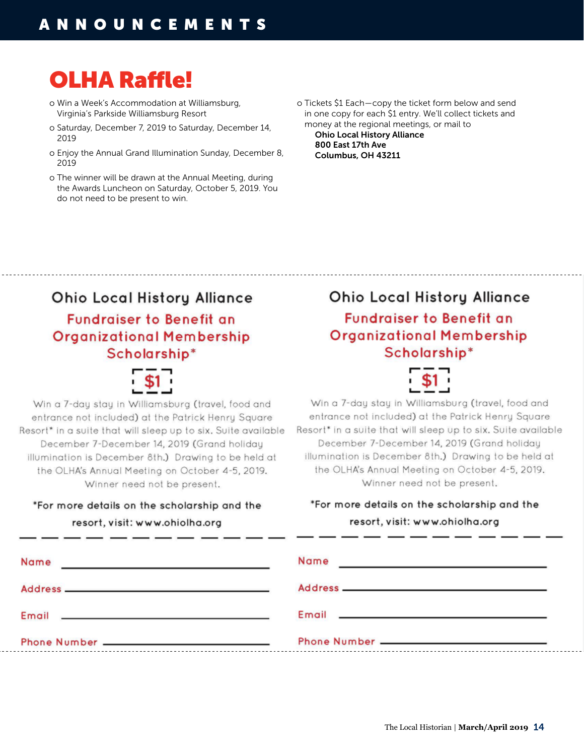# OLHA Raffle!

- o Win a Week's Accommodation at Williamsburg, Virginia's Parkside Williamsburg Resort
- o Saturday, December 7, 2019 to Saturday, December 14, 2019
- o Enjoy the Annual Grand Illumination Sunday, December 8, 2019
- o The winner will be drawn at the Annual Meeting, during the Awards Luncheon on Saturday, October 5, 2019. You do not need to be present to win.
- o Tickets \$1 Each—copy the ticket form below and send in one copy for each \$1 entry. We'll collect tickets and money at the regional meetings, or mail to

Ohio Local History Alliance 800 East 17th Ave Columbus, OH 43211

# **Ohio Local History Alliance Fundraiser to Benefit an Organizational Membership** Scholarship\*



Win a 7-day stay in Williamsburg (travel, food and entrance not included) at the Patrick Henry Square Resort\* in a suite that will sleep up to six. Suite available December 7-December 14, 2019 (Grand holiday illumination is December 8th.) Drawing to be held at the OLHA's Annual Meeting on October 4-5, 2019. Winner need not be present.

# \*For more details on the scholarship and the

resort, visit: www.ohiolha.org

# **Ohio Local History Alliance Fundraiser to Benefit an Organizational Membership** Scholarship\*



Win a 7-day stay in Williamsburg (travel, food and entrance not included) at the Patrick Henry Square Resort\* in a suite that will sleep up to six. Suite available December 7-December 14, 2019 (Grand holidau illumination is December 8th.) Drawing to be held at the OLHA's Annual Meeting on October 4-5, 2019. Winner need not be present.

# \*For more details on the scholarship and the resort, visit: www.ohiolha.org

| Name<br>product the control of the control of the control of the control of the control of                                                                                                                                           | Name<br><u> The Communication of the Communication of the Communication of the Communication of the Communication of the Communication of the Communication of the Communication of the Communication of the Communication of the Commun</u> |
|--------------------------------------------------------------------------------------------------------------------------------------------------------------------------------------------------------------------------------------|----------------------------------------------------------------------------------------------------------------------------------------------------------------------------------------------------------------------------------------------|
|                                                                                                                                                                                                                                      |                                                                                                                                                                                                                                              |
| Email <b>Experience and Contract Contract Contract Contract Contract Contract Contract Contract Contract Contract Contract Contract Contract Contract Contract Contract Contract Contract Contract Contract Contract Contract Co</b> | Email <b>Experience of the Contract of the Contract of the Contract of the Contract of the Contract of the Contract of the Contract of the Contract of the Contract of the Contract of the Contract of the Contract of the Contr</b>         |
|                                                                                                                                                                                                                                      |                                                                                                                                                                                                                                              |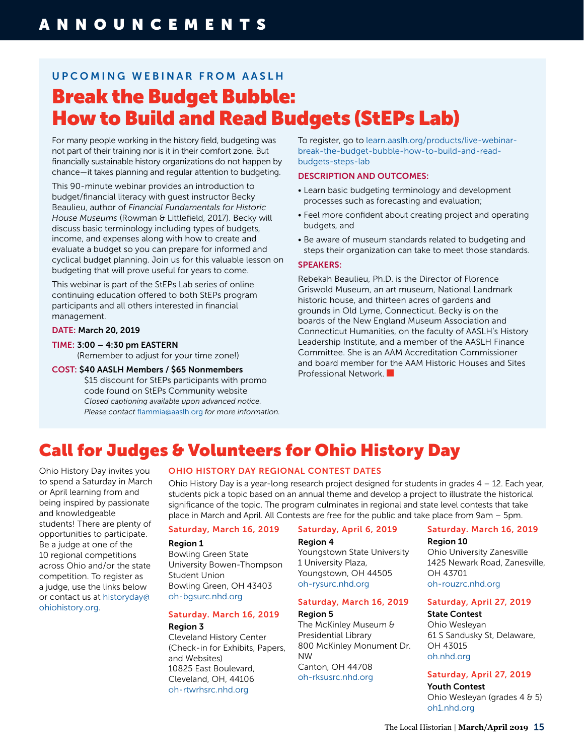# U P C O M I N G W E B I N A R F R O M A A S L H

# Break the Budget Bubble: How to Build and Read Budgets (StEPs Lab)

For many people working in the history field, budgeting was not part of their training nor is it in their comfort zone. But financially sustainable history organizations do not happen by chance—it takes planning and regular attention to budgeting.

This 90-minute webinar provides an introduction to budget/financial literacy with guest instructor Becky Beaulieu, author of *Financial Fundamentals for Historic House Museums* (Rowman & Littlefield, 2017). Becky will discuss basic terminology including types of budgets, income, and expenses along with how to create and evaluate a budget so you can prepare for informed and cyclical budget planning. Join us for this valuable lesson on budgeting that will prove useful for years to come.

This webinar is part of the StEPs Lab series of online continuing education offered to both StEPs program participants and all others interested in financial management.

#### DATE: March 20, 2019

- TIME: 3:00 4:30 pm EASTERN (Remember to adjust for your time zone!)
- COST: \$40 AASLH Members / \$65 Nonmembers

\$15 discount for StEPs participants with promo code found on StEPs Community website *Closed captioning available upon advanced notice. Please contact* [flammia@aaslh.org](mailto:flammia@aaslh.org) *for more information.* To register, go to [learn.aaslh.org/products/live-webinar](https://learn.aaslh.org/products/live-webinar-break-the-budget-bubble-how-to-build-and-read-budgets-steps-lab)[break-the-budget-bubble-how-to-build-and-read](https://learn.aaslh.org/products/live-webinar-break-the-budget-bubble-how-to-build-and-read-budgets-steps-lab)[budgets-steps-lab](https://learn.aaslh.org/products/live-webinar-break-the-budget-bubble-how-to-build-and-read-budgets-steps-lab)

#### DESCRIPTION AND OUTCOMES:

- Learn basic budgeting terminology and development processes such as forecasting and evaluation;
- Feel more confident about creating project and operating budgets, and
- Be aware of museum standards related to budgeting and steps their organization can take to meet those standards.

#### SPEAKERS:

Rebekah Beaulieu, Ph.D. is the Director of Florence Griswold Museum, an art museum, National Landmark historic house, and thirteen acres of gardens and grounds in Old Lyme, Connecticut. Becky is on the boards of the New England Museum Association and Connecticut Humanities, on the faculty of AASLH's History Leadership Institute, and a member of the AASLH Finance Committee. She is an AAM Accreditation Commissioner and board member for the AAM Historic Houses and Sites Professional Network.

# Call for Judges & Volunteers for Ohio History Day

Ohio History Day invites you to spend a Saturday in March or April learning from and being inspired by passionate and knowledgeable students! There are plenty of opportunities to participate. Be a judge at one of the 10 regional competitions across Ohio and/or the state competition. To register as a judge, use the links below or contact us at [historyday@](mailto:historyday@ohiohistory.org) [ohiohistory.org](mailto:historyday@ohiohistory.org).

#### OHIO HISTORY DAY REGIONAL CONTEST DATES

Ohio History Day is a year-long research project designed for students in grades  $4 - 12$ . Each year, students pick a topic based on an annual theme and develop a project to illustrate the historical significance of the topic. The program culminates in regional and state level contests that take place in March and April. All Contests are free for the public and take place from 9am – 5pm.

#### Saturday, March 16, 2019

#### Region 1

Bowling Green State University Bowen-Thompson Student Union Bowling Green, OH 43403 [oh-bgsurc.nhd.org](https://oh-bgsurc.nhd.org)

#### Saturday. March 16, 2019

#### Region 3

Cleveland History Center (Check-in for Exhibits, Papers, and Websites) 10825 East Boulevard, Cleveland, OH, 44106 [oh-rtwrhsrc.nhd.org](https://oh-rtwrhsrc.nhd.org)

### Saturday, April 6, 2019

#### Region 4

Youngstown State University 1 University Plaza, Youngstown, OH 44505 [oh-rysurc.nhd.org](https://oh-rysurc.nhd.org)

#### Saturday, March 16, 2019

#### Region 5

The McKinley Museum & Presidential Library 800 McKinley Monument Dr. NW Canton, OH 44708 [oh-rksusrc.nhd.org](https://oh-rksusrc.nhd.org)

#### Saturday. March 16, 2019 Region 10

Ohio University Zanesville 1425 Newark Road, Zanesville, OH 43701 [oh-rouzrc.nhd.org](https://oh-rouzrc.nhd.org)

#### Saturday, April 27, 2019

#### State Contest Ohio Wesleyan 61 S Sandusky St, Delaware, OH 43015 [oh.nhd.org](https://oh.nhd.org)

#### Saturday, April 27, 2019

Youth Contest Ohio Wesleyan (grades 4 & 5) [oh1.nhd.org](https://oh1.nhd.org)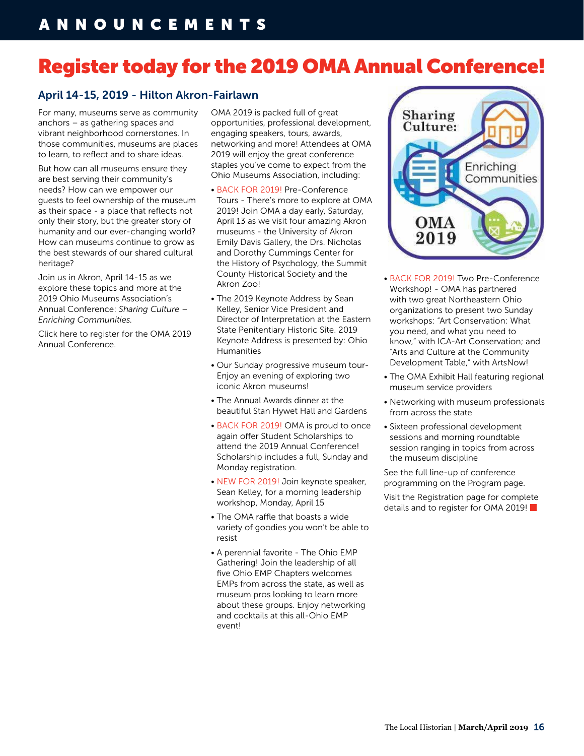# Register today for the 2019 OMA Annual Conference!

# April 14-15, 2019 - Hilton Akron-Fairlawn

For many, museums serve as community anchors – as gathering spaces and vibrant neighborhood cornerstones. In those communities, museums are places to learn, to reflect and to share ideas.

But how can all museums ensure they are best serving their community's needs? How can we empower our guests to feel ownership of the museum as their space - a place that reflects not only their story, but the greater story of humanity and our ever-changing world? How can museums continue to grow as the best stewards of our shared cultural heritage?

Join us in Akron, April 14-15 as we explore these topics and more at the 2019 Ohio Museums Association's Annual Conference: *Sharing Culture – Enriching Communities.*

Click here to register for the OMA 2019 Annual Conference.

OMA 2019 is packed full of great opportunities, professional development, engaging speakers, tours, awards, networking and more! Attendees at OMA 2019 will enjoy the great conference staples you've come to expect from the Ohio Museums Association, including:

- BACK FOR 2019! Pre-Conference Tours - There's more to explore at OMA 2019! Join OMA a day early, Saturday, April 13 as we visit four amazing Akron museums - the University of Akron Emily Davis Gallery, the Drs. Nicholas and Dorothy Cummings Center for the History of Psychology, the Summit County Historical Society and the Akron Zoo!
- The 2019 Keynote Address by Sean Kelley, Senior Vice President and Director of Interpretation at the Eastern State Penitentiary Historic Site. 2019 Keynote Address is presented by: Ohio Humanities
- Our Sunday progressive museum tour-Enjoy an evening of exploring two iconic Akron museums!
- The Annual Awards dinner at the beautiful Stan Hywet Hall and Gardens
- BACK FOR 2019! OMA is proud to once again offer Student Scholarships to attend the 2019 Annual Conference! Scholarship includes a full, Sunday and Monday registration.
- NEW FOR 2019! Join keynote speaker, Sean Kelley, for a morning leadership workshop, Monday, April 15
- The OMA raffle that boasts a wide variety of goodies you won't be able to resist
- A perennial favorite The Ohio EMP Gathering! Join the leadership of all five Ohio EMP Chapters welcomes EMPs from across the state, as well as museum pros looking to learn more about these groups. Enjoy networking and cocktails at this all-Ohio EMP event!



- BACK FOR 2019! Two Pre-Conference Workshop! - OMA has partnered with two great Northeastern Ohio organizations to present two Sunday workshops: "Art Conservation: What you need, and what you need to know," with ICA-Art Conservation; and "Arts and Culture at the Community Development Table," with ArtsNow!
- The OMA Exhibit Hall featuring regional museum service providers
- Networking with museum professionals from across the state
- Sixteen professional development sessions and morning roundtable session ranging in topics from across the museum discipline

See the full line-up of conference programming on the Program page.

Visit the Registration page for complete details and to register for OMA 2019!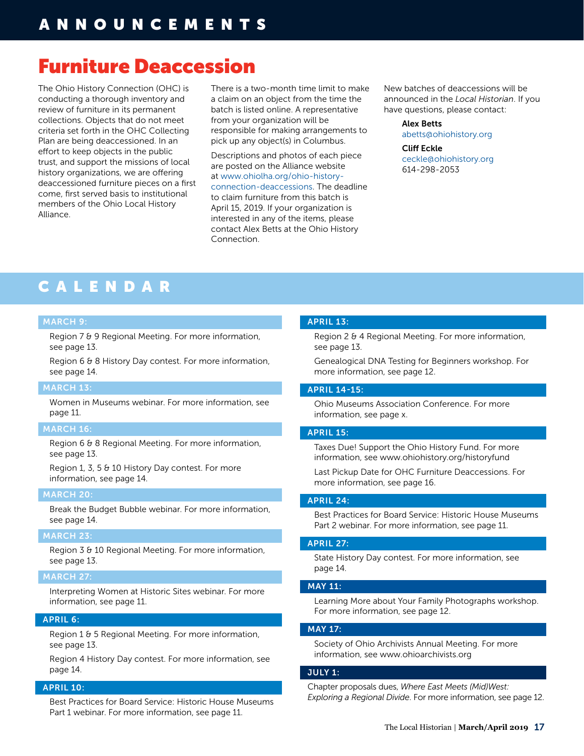# Furniture Deaccession

The Ohio History Connection (OHC) is conducting a thorough inventory and review of furniture in its permanent collections. Objects that do not meet criteria set forth in the OHC Collecting Plan are being deaccessioned. In an effort to keep objects in the public trust, and support the missions of local history organizations, we are offering deaccessioned furniture pieces on a first come, first served basis to institutional members of the Ohio Local History Alliance.

There is a two-month time limit to make a claim on an object from the time the batch is listed online. A representative from your organization will be responsible for making arrangements to pick up any object(s) in Columbus.

Descriptions and photos of each piece are posted on the Alliance website at [www.ohiolha.org/ohio-history](http://www.ohiolha.org/ohio-history-connection-deaccessions)[connection-deaccessions.](http://www.ohiolha.org/ohio-history-connection-deaccessions) The deadline to claim furniture from this batch is April 15, 2019. If your organization is interested in any of the items, please contact Alex Betts at the Ohio History Connection.

New batches of deaccessions will be announced in the *Local Historian*. If you have questions, please contact:

> Alex Betts [abetts@ohiohistory.org](mailto:abetts@ohiohistory.org)

Cliff Eckle [ceckle@ohiohistory.org](mailto:ceckle@ohiohistory.org) 614-298-2053

# CALENDAR

#### MARCH 9:

Region 7 & 9 Regional Meeting. For more information, see page 13.

Region 6 & 8 History Day contest. For more information, see page 14.

#### MARCH 13:

Women in Museums webinar. For more information, see page 11.

#### MARCH 16:

Region 6 & 8 Regional Meeting. For more information, see page 13.

Region 1, 3, 5 & 10 History Day contest. For more information, see page 14.

#### MARCH 20:

Break the Budget Bubble webinar. For more information, see page 14.

#### MARCH 23:

Region 3 & 10 Regional Meeting. For more information, see page 13.

#### MARCH 27:

Interpreting Women at Historic Sites webinar. For more information, see page 11.

#### APRIL 6:

Region 1 & 5 Regional Meeting. For more information, see page 13.

Region 4 History Day contest. For more information, see page 14.

#### APRIL 10:

Best Practices for Board Service: Historic House Museums Part 1 webinar. For more information, see page 11.

#### APRIL 13:

Region 2 & 4 Regional Meeting. For more information, see page 13.

Genealogical DNA Testing for Beginners workshop. For more information, see page 12.

#### APRIL 14-15:

Ohio Museums Association Conference. For more information, see page x.

#### APRIL 15:

Taxes Due! Support the Ohio History Fund. For more information, see [www.ohiohistory.org/historyfund](http://www.ohiohistory.org/historyfund) 

Last Pickup Date for OHC Furniture Deaccessions. For more information, see page 16.

#### APRIL 24:

Best Practices for Board Service: Historic House Museums Part 2 webinar. For more information, see page 11.

#### APRIL 27:

State History Day contest. For more information, see page 14.

#### MAY 11:

Learning More about Your Family Photographs workshop. For more information, see page 12.

#### MAY 17:

Society of Ohio Archivists Annual Meeting. For more information, see [www.ohioarchivists.org](http://www.ohioarchivists.org) 

#### JULY 1:

Chapter proposals dues, *Where East Meets (Mid)West: Exploring a Regional Divide*. For more information, see page 12.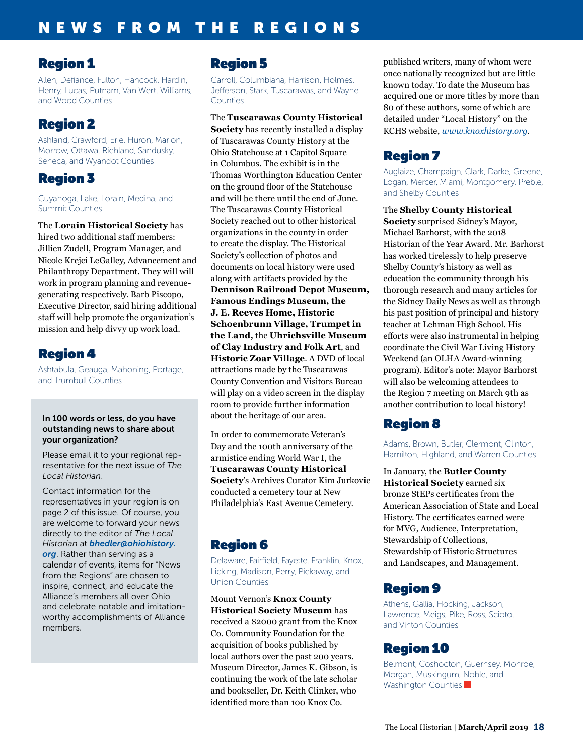# Region 1

Allen, Defiance, Fulton, Hancock, Hardin, Henry, Lucas, Putnam, Van Wert, Williams, and Wood Counties

# Region 2

Ashland, Crawford, Erie, Huron, Marion, Morrow, Ottawa, Richland, Sandusky, Seneca, and Wyandot Counties

# Region 3

Cuyahoga, Lake, Lorain, Medina, and Summit Counties

The **Lorain Historical Society** has hired two additional staff members: Jillien Zudell, Program Manager, and Nicole Krejci LeGalley, Advancement and Philanthropy Department. They will will work in program planning and revenuegenerating respectively. Barb Piscopo, Executive Director, said hiring additional staff will help promote the organization's mission and help divvy up work load.

# Region 4

Ashtabula, Geauga, Mahoning, Portage, and Trumbull Counties

#### In 100 words or less, do you have outstanding news to share about your organization?

Please email it to your regional representative for the next issue of *The Local Historian*.

Contact information for the representatives in your region is on page 2 of this issue. Of course, you are welcome to forward your news directly to the editor of *The Local Historian* at *[bhedler@ohiohistory.](mailto:bhedler%40ohiohistory.org?subject=) [org](mailto:bhedler%40ohiohistory.org?subject=)*. Rather than serving as a calendar of events, items for "News from the Regions" are chosen to inspire, connect, and educate the Alliance's members all over Ohio and celebrate notable and imitationworthy accomplishments of Alliance members.

# Region 5

Carroll, Columbiana, Harrison, Holmes, Jefferson, Stark, Tuscarawas, and Wayne Counties

The **Tuscarawas County Historical Society** has recently installed a display of Tuscarawas County History at the Ohio Statehouse at 1 Capitol Square in Columbus. The exhibit is in the Thomas Worthington Education Center on the ground floor of the Statehouse and will be there until the end of June. The Tuscarawas County Historical Society reached out to other historical organizations in the county in order to create the display. The Historical Society's collection of photos and documents on local history were used along with artifacts provided by the **Dennison Railroad Depot Museum, Famous Endings Museum, the J. E. Reeves Home, Historic Schoenbrunn Village, Trumpet in the Land,** the **Uhrichsville Museum of Clay Industry and Folk Art**, and **Historic Zoar Village**. A DVD of local attractions made by the Tuscarawas County Convention and Visitors Bureau will play on a video screen in the display room to provide further information about the heritage of our area.

In order to commemorate Veteran's Day and the 100th anniversary of the armistice ending World War I, the **Tuscarawas County Historical Society**'s Archives Curator Kim Jurkovic conducted a cemetery tour at New Philadelphia's East Avenue Cemetery.

# Region 6

Delaware, Fairfield, Fayette, Franklin, Knox, Licking, Madison, Perry, Pickaway, and Union Counties

Mount Vernon's **Knox County Historical Society Museum** has received a \$2000 grant from the Knox Co. Community Foundation for the acquisition of books published by local authors over the past 200 years. Museum Director, James K. Gibson, is continuing the work of the late scholar and bookseller, Dr. Keith Clinker, who identified more than 100 Knox Co.

published writers, many of whom were once nationally recognized but are little known today. To date the Museum has acquired one or more titles by more than 80 of these authors, some of which are detailed under "Local History" on the KCHS website, *[www.knoxhistory.org](http://www.knoxhistory.org)*.

# Region 7

Auglaize, Champaign, Clark, Darke, Greene, Logan, Mercer, Miami, Montgomery, Preble, and Shelby Counties

### The **Shelby County Historical**

**Society** surprised Sidney's Mayor, Michael Barhorst, with the 2018 Historian of the Year Award. Mr. Barhorst has worked tirelessly to help preserve Shelby County's history as well as education the community through his thorough research and many articles for the Sidney Daily News as well as through his past position of principal and history teacher at Lehman High School. His efforts were also instrumental in helping coordinate the Civil War Living History Weekend (an OLHA Award-winning program). Editor's note: Mayor Barhorst will also be welcoming attendees to the Region 7 meeting on March 9th as another contribution to local history!

# Region 8

Adams, Brown, Butler, Clermont, Clinton, Hamilton, Highland, and Warren Counties

In January, the **Butler County Historical Society** earned six bronze StEPs certificates from the American Association of State and Local History. The certificates earned were for MVG, Audience, Interpretation, Stewardship of Collections, Stewardship of Historic Structures and Landscapes, and Management.

# Region 9

Athens, Gallia, Hocking, Jackson, Lawrence, Meigs, Pike, Ross, Scioto, and Vinton Counties

# Region 10

Belmont, Coshocton, Guernsey, Monroe, Morgan, Muskingum, Noble, and Washington Counties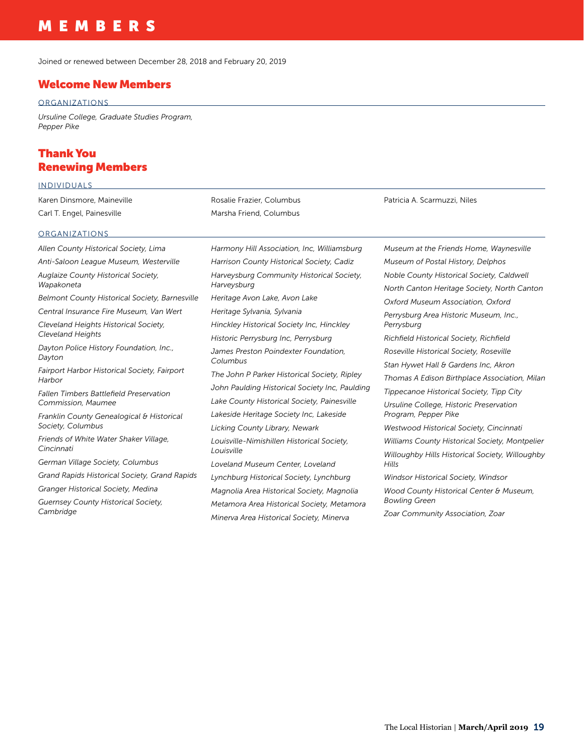# MEMBERS

Joined or renewed between December 28, 2018 and February 20, 2019

#### Welcome New Members

#### **ORGANIZATIONS**

*Ursuline College, Graduate Studies Program, Pepper Pike*

# Thank You Renewing Members

| <b>INDIVIDUALS</b>                                    |                                                                                                                                                                         |                                                                                                            |  |
|-------------------------------------------------------|-------------------------------------------------------------------------------------------------------------------------------------------------------------------------|------------------------------------------------------------------------------------------------------------|--|
| Karen Dinsmore, Maineville                            | Rosalie Frazier, Columbus                                                                                                                                               | Patricia A. Scarmuzzi, Niles                                                                               |  |
| Carl T. Engel, Painesville                            | Marsha Friend, Columbus                                                                                                                                                 |                                                                                                            |  |
| ORGANIZATIONS                                         |                                                                                                                                                                         |                                                                                                            |  |
| Allen County Historical Society, Lima                 | Harmony Hill Association, Inc, Williamsburg                                                                                                                             | Museum at the Friends Home, Waynesville                                                                    |  |
| Anti-Saloon League Museum, Westerville                | Harrison County Historical Society, Cadiz                                                                                                                               | Museum of Postal History, Delphos                                                                          |  |
| Auglaize County Historical Society,<br>Wapakoneta     | Harveysburg Community Historical Society,<br>Harveysburg                                                                                                                | Noble County Historical Society, Caldwell<br>North Canton Heritage Society, North Canton                   |  |
| <b>Belmont County Historical Society, Barnesville</b> | Heritage Avon Lake, Avon Lake                                                                                                                                           | Oxford Museum Association, Oxford                                                                          |  |
| Central Insurance Fire Museum, Van Wert               | Heritage Sylvania, Sylvania                                                                                                                                             | Perrysburg Area Historic Museum, Inc.,                                                                     |  |
| Cleveland Heights Historical Society,                 | Hinckley Historical Society Inc, Hinckley                                                                                                                               | Perrysburg                                                                                                 |  |
| <b>Cleveland Heights</b>                              | Historic Perrysburg Inc, Perrysburg                                                                                                                                     | Richfield Historical Society, Richfield                                                                    |  |
| Dayton Police History Foundation, Inc.,<br>Dayton     | James Preston Poindexter Foundation,                                                                                                                                    | Roseville Historical Society, Roseville                                                                    |  |
| Fairport Harbor Historical Society, Fairport          | Columbus                                                                                                                                                                | Stan Hywet Hall & Gardens Inc, Akron                                                                       |  |
| Harbor                                                | The John P Parker Historical Society, Ripley                                                                                                                            | Thomas A Edison Birthplace Association, Milan                                                              |  |
| <b>Fallen Timbers Battlefield Preservation</b>        | John Paulding Historical Society Inc, Paulding                                                                                                                          | Tippecanoe Historical Society, Tipp City                                                                   |  |
| Commission, Maumee                                    | Lake County Historical Society, Painesville                                                                                                                             | Ursuline College, Historic Preservation                                                                    |  |
| Franklin County Genealogical & Historical             | Lakeside Heritage Society Inc, Lakeside                                                                                                                                 | Program, Pepper Pike                                                                                       |  |
| Society, Columbus                                     | Licking County Library, Newark                                                                                                                                          | Westwood Historical Society, Cincinnati                                                                    |  |
| Friends of White Water Shaker Village,<br>Cincinnati  | Louisville-Nimishillen Historical Society,<br>Louisville                                                                                                                | Williams County Historical Society, Montpelier<br>Willoughby Hills Historical Society, Willoughby<br>Hills |  |
| German Village Society, Columbus                      | Loveland Museum Center, Loveland                                                                                                                                        |                                                                                                            |  |
| Grand Rapids Historical Society, Grand Rapids         | Lynchburg Historical Society, Lynchburg                                                                                                                                 | Windsor Historical Society, Windsor                                                                        |  |
| Granger Historical Society, Medina                    | Magnolia Area Historical Society, Magnolia                                                                                                                              | Wood County Historical Center & Museum,                                                                    |  |
| Guernsey County Historical Society,<br>Cambridge      | Metamora Area Historical Society, Metamora<br>$M_{\text{tot}}$ and $M_{\text{tot}}$ and $M_{\text{tot}}$ and $M_{\text{tot}}$ and $M_{\text{tot}}$ and $M_{\text{tot}}$ | <b>Bowling Green</b><br>Zoar Community Association, Zoar                                                   |  |

*Minerva Area Historical Society, Minerva*

*Zoar Community Association, Zoar*